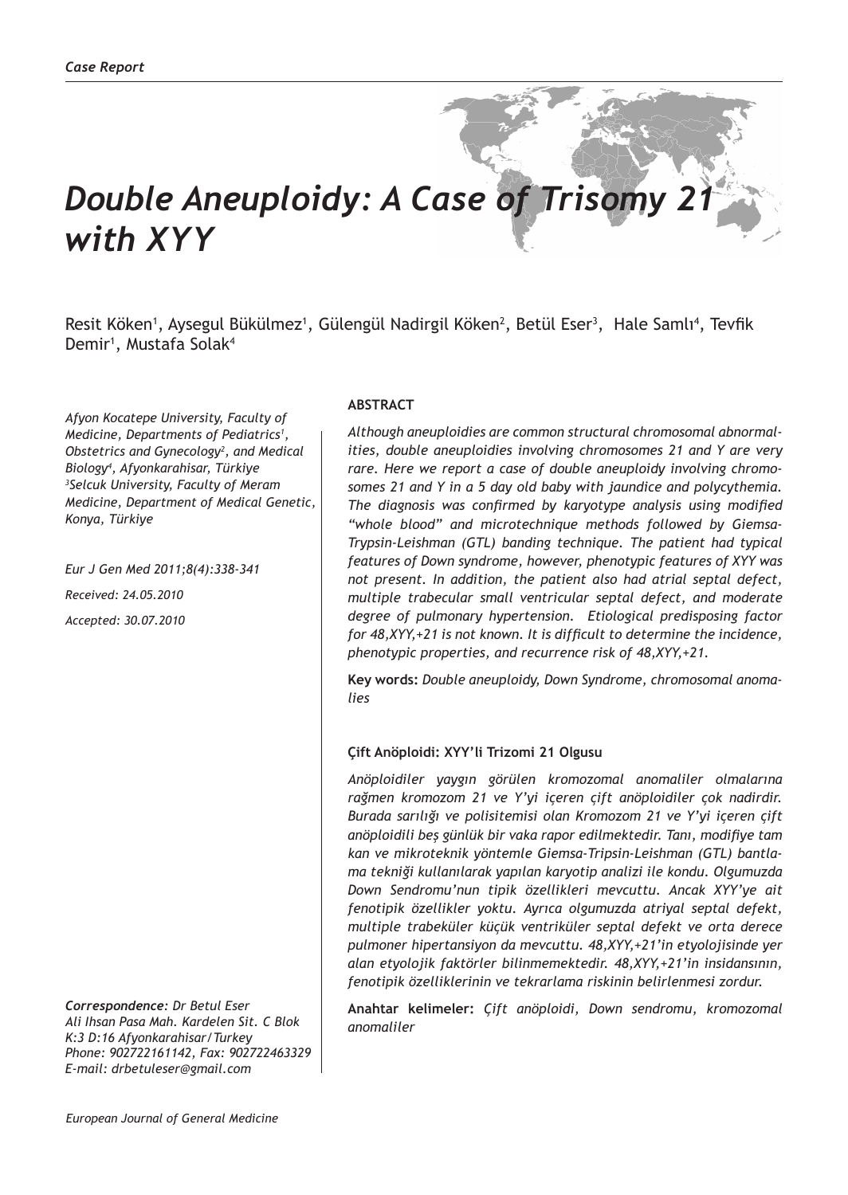# **Double Aneuploidy: A Case of Trisomy 2** *with XYY*

Resit Köken<sup>1</sup>, Aysegul Bükülmez<sup>1</sup>, Gülengül Nadirgil Köken<sup>2</sup>, Betül Eser<sup>3</sup>, Hale Samlı<sup>4</sup>, Tevfik Demir<sup>1</sup>, Mustafa Solak<sup>4</sup>

*Afyon Kocatepe University, Faculty of Medicine, Departments of Pediatrics1 , Obstetrics and Gynecology<sup>2</sup> , and Medical Biology4 , Afyonkarahisar, Türkiye 3 Selcuk University, Faculty of Meram Medicine, Department of Medical Genetic, Konya, Türkiye* 

*Eur J Gen Med 2011;8(4):338-341 Received: 24.05.2010 Accepted: 30.07.2010*

*Correspondence: Dr Betul Eser Ali Ihsan Pasa Mah. Kardelen Sit. C Blok K:3 D:16 Afyonkarahisar/Turkey Phone: 902722161142, Fax: 902722463329 E-mail: drbetuleser@gmail.com*

#### **ABSTRACT**

*Although aneuploidies are common structural chromosomal abnormalities, double aneuploidies involving chromosomes 21 and Y are very rare. Here we report a case of double aneuploidy involving chromosomes 21 and Y in a 5 day old baby with jaundice and polycythemia. The diagnosis was confirmed by karyotype analysis using modified "whole blood" and microtechnique methods followed by Giemsa-Trypsin-Leishman (GTL) banding technique. The patient had typical features of Down syndrome, however, phenotypic features of XYY was not present. In addition, the patient also had atrial septal defect, multiple trabecular small ventricular septal defect, and moderate degree of pulmonary hypertension. Etiological predisposing factor for 48,XYY,+21 is not known. It is difficult to determine the incidence, phenotypic properties, and recurrence risk of 48,XYY,+21.*

**Key words:** *Double aneuploidy, Down Syndrome, chromosomal anomalies*

#### **Çift Anöploidi: XYY'li Trizomi 21 Olgusu**

*Anöploidiler yaygın görülen kromozomal anomaliler olmalarına rağmen kromozom 21 ve Y'yi içeren çift anöploidiler çok nadirdir. Burada sarılığı ve polisitemisi olan Kromozom 21 ve Y'yi içeren çift anöploidili beş günlük bir vaka rapor edilmektedir. Tanı, modifiye tam kan ve mikroteknik yöntemle Giemsa-Tripsin-Leishman (GTL) bantlama tekniği kullanılarak yapılan karyotip analizi ile kondu. Olgumuzda Down Sendromu'nun tipik özellikleri mevcuttu. Ancak XYY'ye ait fenotipik özellikler yoktu. Ayrıca olgumuzda atriyal septal defekt, multiple trabeküler küçük ventriküler septal defekt ve orta derece pulmoner hipertansiyon da mevcuttu. 48,XYY,+21'in etyolojisinde yer alan etyolojik faktörler bilinmemektedir. 48,XYY,+21'in insidansının, fenotipik özelliklerinin ve tekrarlama riskinin belirlenmesi zordur.*

**Anahtar kelimeler:** *Çift anöploidi, Down sendromu, kromozomal anomaliler*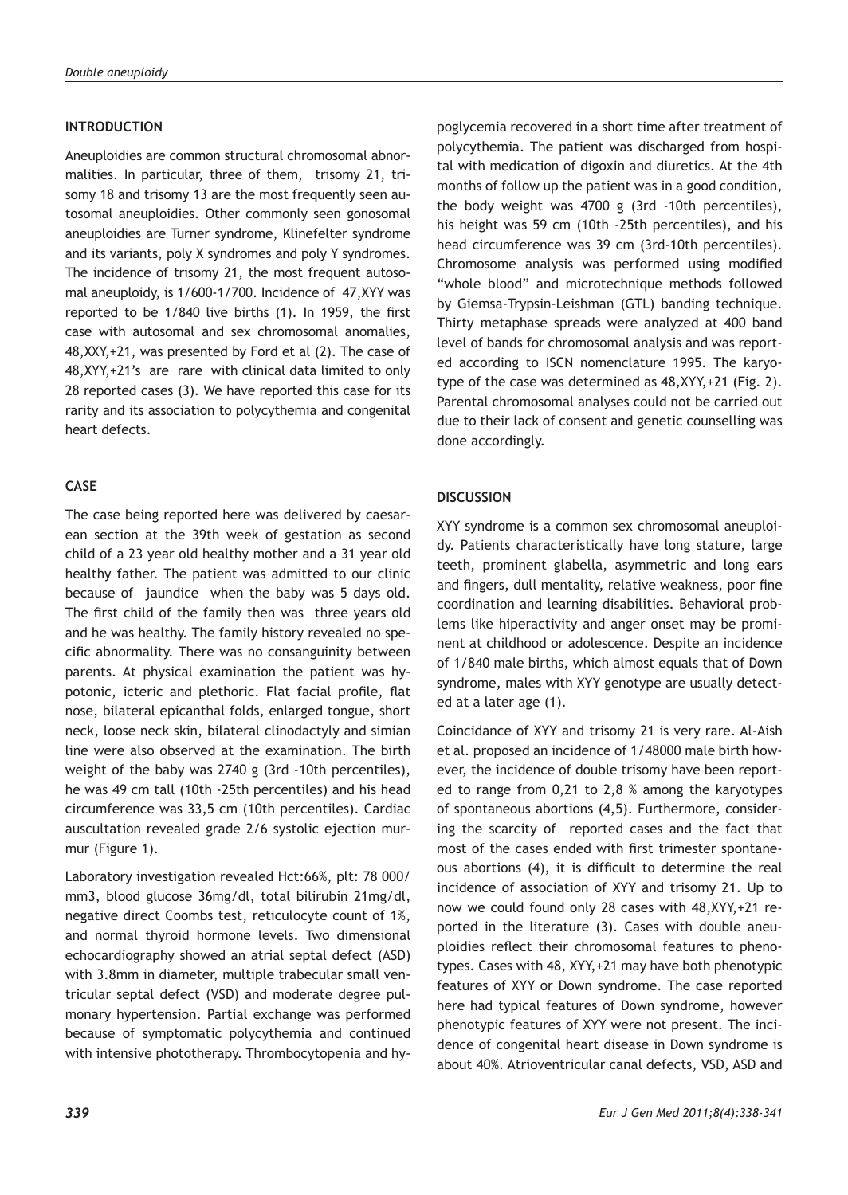## **INTRODUCTION**

Aneuploidies are common structural chromosomal abnormalities. In particular, three of them, trisomy 21, trisomy 18 and trisomy 13 are the most frequently seen autosomal aneuploidies. Other commonly seen gonosomal aneuploidies are Turner syndrome, Klinefelter syndrome and its variants, poly X syndromes and poly Y syndromes. The incidence of trisomy 21, the most frequent autosomal aneuploidy, is 1/600-1/700. Incidence of 47,XYY was reported to be 1/840 live births (1). In 1959, the first case with autosomal and sex chromosomal anomalies, 48,XXY,+21, was presented by Ford et al (2). The case of 48,XYY,+21's are rare with clinical data limited to only 28 reported cases (3). We have reported this case for its rarity and its association to polycythemia and congenital heart defects.

## **CASE**

The case being reported here was delivered by caesarean section at the 39th week of gestation as second child of a 23 year old healthy mother and a 31 year old healthy father. The patient was admitted to our clinic because of jaundice when the baby was 5 days old. The first child of the family then was three years old and he was healthy. The family history revealed no specific abnormality. There was no consanguinity between parents. At physical examination the patient was hypotonic, icteric and plethoric. Flat facial profile, flat nose, bilateral epicanthal folds, enlarged tongue, short neck, loose neck skin, bilateral clinodactyly and simian line were also observed at the examination. The birth weight of the baby was 2740 g (3rd -10th percentiles), he was 49 cm tall (10th -25th percentiles) and his head circumference was 33,5 cm (10th percentiles). Cardiac auscultation revealed grade 2/6 systolic ejection murmur (Figure 1).

Laboratory investigation revealed Hct:66%, plt: 78 000/ mm3, blood glucose 36mg/dl, total bilirubin 21mg/dl, negative direct Coombs test, reticulocyte count of 1%, and normal thyroid hormone levels. Two dimensional echocardiography showed an atrial septal defect (ASD) with 3.8mm in diameter, multiple trabecular small ventricular septal defect (VSD) and moderate degree pulmonary hypertension. Partial exchange was performed because of symptomatic polycythemia and continued with intensive phototherapy. Thrombocytopenia and hy-

poglycemia recovered in a short time after treatment of polycythemia. The patient was discharged from hospital with medication of digoxin and diuretics. At the 4th months of follow up the patient was in a good condition, the body weight was 4700 g (3rd -10th percentiles), his height was 59 cm (10th -25th percentiles), and his head circumference was 39 cm (3rd-10th percentiles). Chromosome analysis was performed using modified "whole blood" and microtechnique methods followed by Giemsa-Trypsin-Leishman (GTL) banding technique. Thirty metaphase spreads were analyzed at 400 band level of bands for chromosomal analysis and was reported according to ISCN nomenclature 1995. The karyotype of the case was determined as 48,XYY,+21 (Fig. 2). Parental chromosomal analyses could not be carried out due to their lack of consent and genetic counselling was done accordingly.

### **DISCUSSION**

XYY syndrome is a common sex chromosomal aneuploidy. Patients characteristically have long stature, large teeth, prominent glabella, asymmetric and long ears and fingers, dull mentality, relative weakness, poor fine coordination and learning disabilities. Behavioral problems like hiperactivity and anger onset may be prominent at childhood or adolescence. Despite an incidence of 1/840 male births, which almost equals that of Down syndrome, males with XYY genotype are usually detected at a later age (1).

Coincidance of XYY and trisomy 21 is very rare. Al-Aish et al. proposed an incidence of 1/48000 male birth however, the incidence of double trisomy have been reported to range from 0,21 to 2,8 % among the karyotypes of spontaneous abortions (4,5). Furthermore, considering the scarcity of reported cases and the fact that most of the cases ended with first trimester spontaneous abortions (4), it is difficult to determine the real incidence of association of XYY and trisomy 21. Up to now we could found only 28 cases with 48,XYY,+21 reported in the literature (3). Cases with double aneuploidies reflect their chromosomal features to phenotypes. Cases with 48, XYY,+21 may have both phenotypic features of XYY or Down syndrome. The case reported here had typical features of Down syndrome, however phenotypic features of XYY were not present. The incidence of congenital heart disease in Down syndrome is about 40%. Atrioventricular canal defects, VSD, ASD and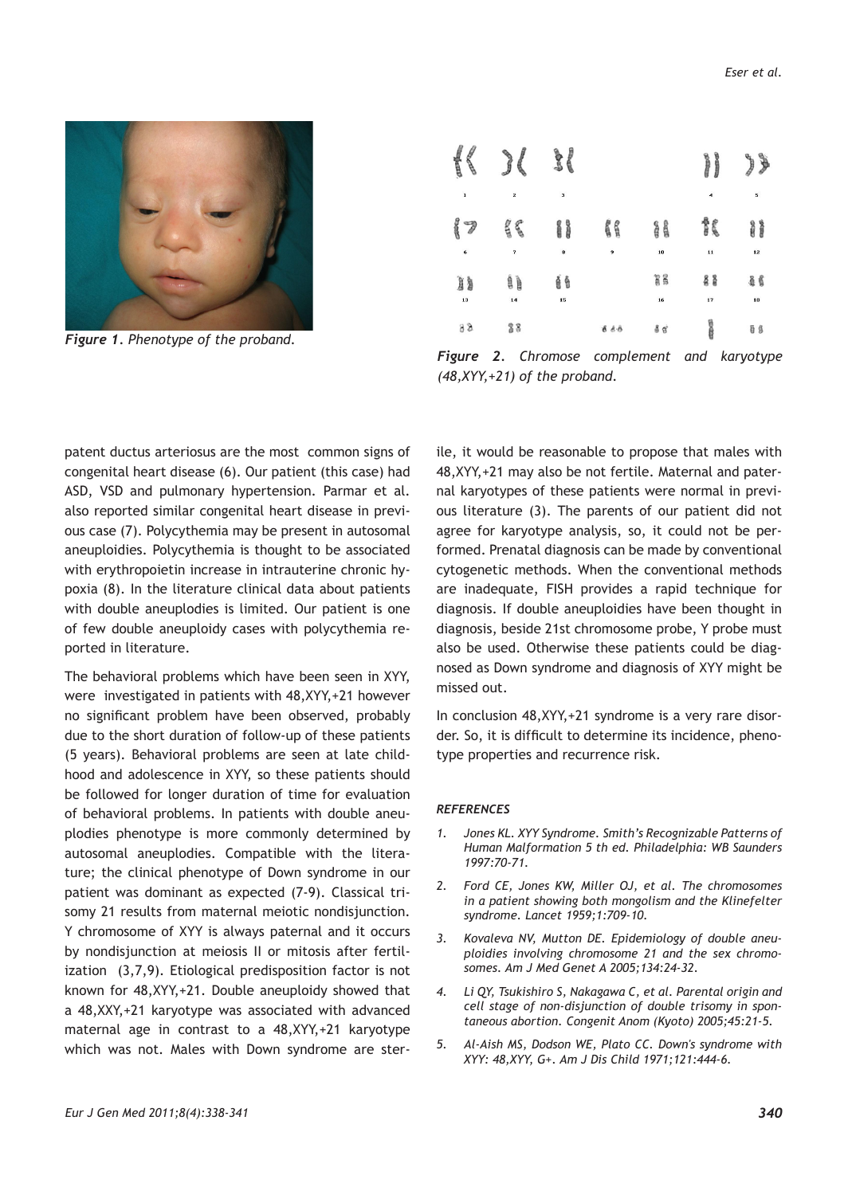

*Figure 1. Phenotype of the proband.*

| <b><i><i><u><b>Andre</b></u></i></i></b><br><b>Redding</b> | €<br>Y                  | $\frac{1}{2}$ |        |           | <b>The Change</b><br><b>Bonne</b> | ⋟<br>J   |
|------------------------------------------------------------|-------------------------|---------------|--------|-----------|-----------------------------------|----------|
| $\mathbf{I}$                                               | $\overline{\mathbf{z}}$ | 3             |        |           | $\ddot{ }$                        | 5        |
| ganco<br>$\overline{\mathcal{J}}$<br>6                     | $\frac{2}{3}$<br>7      | i i<br>8      | ß<br>9 | g g<br>10 | ħ<br>$\mathbf{11}$                | H<br>12  |
| Ìà<br>13                                                   | ĺ)<br>14                | έê<br>15      |        | ğg<br>16  | 88<br>17                          | 46<br>18 |
| 88                                                         | 88                      |               | 888    | 88        | é                                 | 08       |

*Figure 2. Chromose complement and karyotype (48,XYY,+21) of the proband.*

patent ductus arteriosus are the most common signs of congenital heart disease (6). Our patient (this case) had ASD, VSD and pulmonary hypertension. Parmar et al. also reported similar congenital heart disease in previous case (7). Polycythemia may be present in autosomal aneuploidies. Polycythemia is thought to be associated with erythropoietin increase in intrauterine chronic hypoxia (8). In the literature clinical data about patients with double aneuplodies is limited. Our patient is one of few double aneuploidy cases with polycythemia reported in literature.

The behavioral problems which have been seen in XYY, were investigated in patients with 48,XYY,+21 however no significant problem have been observed, probably due to the short duration of follow-up of these patients (5 years). Behavioral problems are seen at late childhood and adolescence in XYY, so these patients should be followed for longer duration of time for evaluation of behavioral problems. In patients with double aneuplodies phenotype is more commonly determined by autosomal aneuplodies. Compatible with the literature; the clinical phenotype of Down syndrome in our patient was dominant as expected (7-9). Classical trisomy 21 results from maternal meiotic nondisjunction. Y chromosome of XYY is always paternal and it occurs by nondisjunction at meiosis II or mitosis after fertilization (3,7,9). Etiological predisposition factor is not known for 48,XYY,+21. Double aneuploidy showed that a 48,XXY,+21 karyotype was associated with advanced maternal age in contrast to a 48,XYY,+21 karyotype which was not. Males with Down syndrome are sterile, it would be reasonable to propose that males with 48,XYY,+21 may also be not fertile. Maternal and paternal karyotypes of these patients were normal in previous literature (3). The parents of our patient did not agree for karyotype analysis, so, it could not be performed. Prenatal diagnosis can be made by conventional cytogenetic methods. When the conventional methods are inadequate, FISH provides a rapid technique for diagnosis. If double aneuploidies have been thought in diagnosis, beside 21st chromosome probe, Y probe must also be used. Otherwise these patients could be diagnosed as Down syndrome and diagnosis of XYY might be missed out.

In conclusion 48,XYY,+21 syndrome is a very rare disorder. So, it is difficult to determine its incidence, phenotype properties and recurrence risk.

#### *REFERENCES*

- *1. Jones KL. XYY Syndrome. Smith's Recognizable Patterns of Human Malformation 5 th ed. Philadelphia: WB Saunders 1997:70-71.*
- *2. Ford CE, Jones KW, Miller OJ, et al. The chromosomes in a patient showing both mongolism and the Klinefelter syndrome. Lancet 1959;1:709-10.*
- *3. Kovaleva NV, Mutton DE. Epidemiology of double aneuploidies involving chromosome 21 and the sex chromosomes. Am J Med Genet A 2005;134:24-32.*
- *4. Li QY, Tsukishiro S, Nakagawa C, et al. Parental origin and cell stage of non-disjunction of double trisomy in spontaneous abortion. Congenit Anom (Kyoto) 2005;45:21-5.*
- *5. Al-Aish MS, Dodson WE, Plato CC. Down's syndrome with XYY: 48,XYY, G+. Am J Dis Child 1971;121:444-6.*